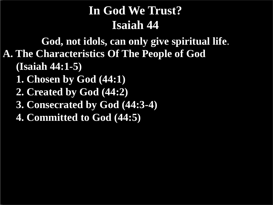**A. The Characteristics Of The People of God (Isaiah 44:1-5) 1. Chosen by God (44:1) God, not idols, can only give spiritual life**.

 **2. Created by God (44:2)**

 **3. Consecrated by God (44:3-4)**

 **4. Committed to God (44:5)**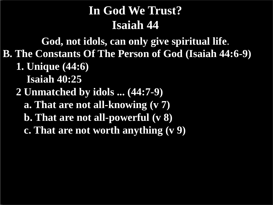**B. The Constants Of The Person of God (Isaiah 44:6-9) 1. Unique (44:6) Isaiah 40:25 God, not idols, can only give spiritual life**.

- **2 Unmatched by idols ... (44:7-9)**
	- **a. That are not all-knowing (v 7)**
	- **b. That are not all-powerful (v 8)**
	- **c. That are not worth anything (v 9)**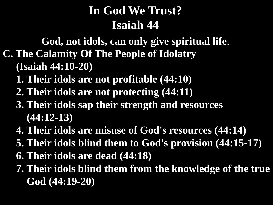**C. The Calamity Of The People of Idolatry (Isaiah 44:10-20) God, not idols, can only give spiritual life**.

- **1. Their idols are not profitable (44:10)**
- **2. Their idols are not protecting (44:11)**
- **3. Their idols sap their strength and resources (44:12-13)**
- **4. Their idols are misuse of God's resources (44:14)**
- **5. Their idols blind them to God's provision (44:15-17)**
- **6. Their idols are dead (44:18)**
- **7. Their idols blind them from the knowledge of the true God (44:19-20)**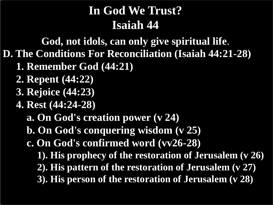**God, not idols, can only give spiritual life**.

- **D. The Conditions For Reconciliation (Isaiah 44:21-28)**
	- **1. Remember God (44:21)**
	- **2. Repent (44:22)**
	- **3. Rejoice (44:23)**
	- **4. Rest (44:24-28)**
		- **a. On God's creation power (v 24)**
		- **b. On God's conquering wisdom (v 25)**
		- **c. On God's confirmed word (vv26-28)**
			- **1). His prophecy of the restoration of Jerusalem (v 26)**
			- **2). His pattern of the restoration of Jerusalem (v 27)**
			- **3). His person of the restoration of Jerusalem (v 28)**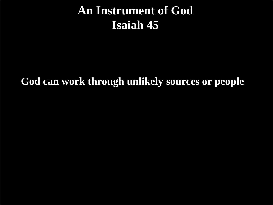#### **An Instrument of God Isaiah 45**

**God can work through unlikely sources or people**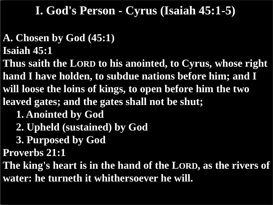## **A. Chosen by God (45:1)**

- **Isaiah 45:1**
- **Thus saith the LORD to his anointed, to Cyrus, whose right hand I have holden, to subdue nations before him; and I will loose the loins of kings, to open before him the two leaved gates; and the gates shall not be shut;**
	- **1. Anointed by God**
	- **2. Upheld (sustained) by God**
	- **3. Purposed by God**
- **Proverbs 21:1**

**The king's heart is in the hand of the LORD, as the rivers of water: he turneth it whithersoever he will.**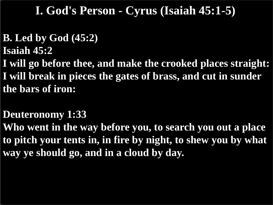#### **B. Led by God (45:2)**

**Isaiah 45:2**

**I will go before thee, and make the crooked places straight: I will break in pieces the gates of brass, and cut in sunder the bars of iron:**

#### **Deuteronomy 1:33**

**Who went in the way before you, to search you out a place to pitch your tents in, in fire by night, to shew you by what way ye should go, and in a cloud by day.**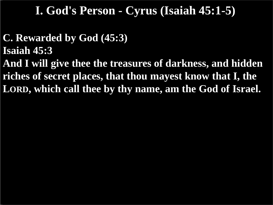- **C. Rewarded by God (45:3)**
- **Isaiah 45:3**

**And I will give thee the treasures of darkness, and hidden riches of secret places, that thou mayest know that I, the LORD, which call thee by thy name, am the God of Israel.**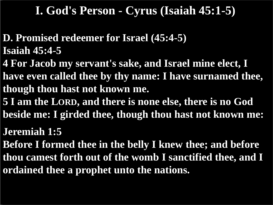- **D. Promised redeemer for Israel (45:4-5) Isaiah 45:4-5**
- **4 For Jacob my servant's sake, and Israel mine elect, I have even called thee by thy name: I have surnamed thee, though thou hast not known me.**
- **5 I am the LORD, and there is none else, there is no God beside me: I girded thee, though thou hast not known me:**

**Jeremiah 1:5**

**Before I formed thee in the belly I knew thee; and before thou camest forth out of the womb I sanctified thee, and I ordained thee a prophet unto the nations.**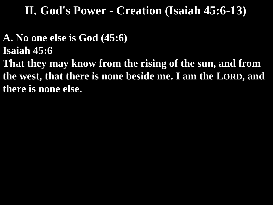**A. No one else is God (45:6) Isaiah 45:6 That they may know from the rising of the sun, and from the west, that there is none beside me. I am the LORD, and there is none else.**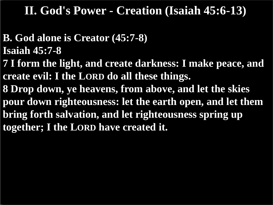#### **B. God alone is Creator (45:7-8) Isaiah 45:7-8 7 I form the light, and create darkness: I make peace, and create evil: I the LORD do all these things. 8 Drop down, ye heavens, from above, and let the skies pour down righteousness: let the earth open, and let them bring forth salvation, and let righteousness spring up together; I the LORD have created it.**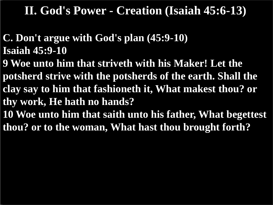**C. Don't argue with God's plan (45:9-10) Isaiah 45:9-10**

**9 Woe unto him that striveth with his Maker! Let the potsherd strive with the potsherds of the earth. Shall the clay say to him that fashioneth it, What makest thou? or thy work, He hath no hands?**

**10 Woe unto him that saith unto his father, What begettest thou? or to the woman, What hast thou brought forth?**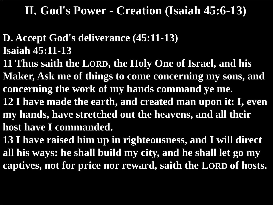#### **D. Accept God's deliverance (45:11-13) Isaiah 45:11-13**

**11 Thus saith the LORD, the Holy One of Israel, and his Maker, Ask me of things to come concerning my sons, and concerning the work of my hands command ye me.**

**12 I have made the earth, and created man upon it: I, even my hands, have stretched out the heavens, and all their host have I commanded.**

**13 I have raised him up in righteousness, and I will direct all his ways: he shall build my city, and he shall let go my captives, not for price nor reward, saith the LORD of hosts.**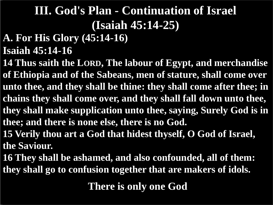#### **A. For His Glory (45:14-16)**

**Isaiah 45:14-16**

**14 Thus saith the LORD, The labour of Egypt, and merchandise of Ethiopia and of the Sabeans, men of stature, shall come over unto thee, and they shall be thine: they shall come after thee; in chains they shall come over, and they shall fall down unto thee, they shall make supplication unto thee, saying, Surely God is in thee; and there is none else, there is no God.**

**15 Verily thou art a God that hidest thyself, O God of Israel, the Saviour.**

**16 They shall be ashamed, and also confounded, all of them: they shall go to confusion together that are makers of idols.**

**There is only one God**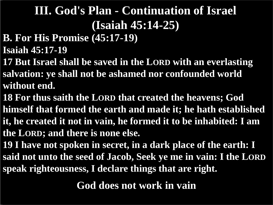- **B. For His Promise (45:17-19)**
- **Isaiah 45:17-19**
- **17 But Israel shall be saved in the LORD with an everlasting salvation: ye shall not be ashamed nor confounded world without end.**
- **18 For thus saith the LORD that created the heavens; God himself that formed the earth and made it; he hath established it, he created it not in vain, he formed it to be inhabited: I am the LORD; and there is none else.**
- **19 I have not spoken in secret, in a dark place of the earth: I said not unto the seed of Jacob, Seek ye me in vain: I the LORD speak righteousness, I declare things that are right.**

**God does not work in vain**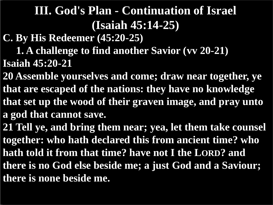**C. By His Redeemer (45:20-25)**

 **1. A challenge to find another Savior (vv 20-21) Isaiah 45:20-21**

**20 Assemble yourselves and come; draw near together, ye that are escaped of the nations: they have no knowledge that set up the wood of their graven image, and pray unto a god that cannot save.**

**21 Tell ye, and bring them near; yea, let them take counsel together: who hath declared this from ancient time? who hath told it from that time? have not I the LORD? and there is no God else beside me; a just God and a Saviour; there is none beside me.**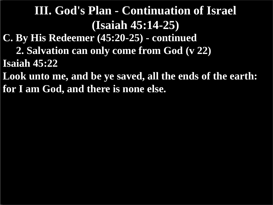**C. By His Redeemer (45:20-25) - continued**

 **2. Salvation can only come from God (v 22) Isaiah 45:22**

**Look unto me, and be ye saved, all the ends of the earth: for I am God, and there is none else.**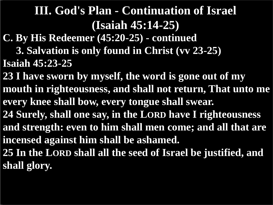- **C. By His Redeemer (45:20-25) - continued**
- **3. Salvation is only found in Christ (vv 23-25) Isaiah 45:23-25**
- **23 I have sworn by myself, the word is gone out of my mouth in righteousness, and shall not return, That unto me every knee shall bow, every tongue shall swear. 24 Surely, shall one say, in the LORD have I righteousness and strength: even to him shall men come; and all that are incensed against him shall be ashamed. 25 In the LORD shall all the seed of Israel be justified, and**
- **shall glory.**